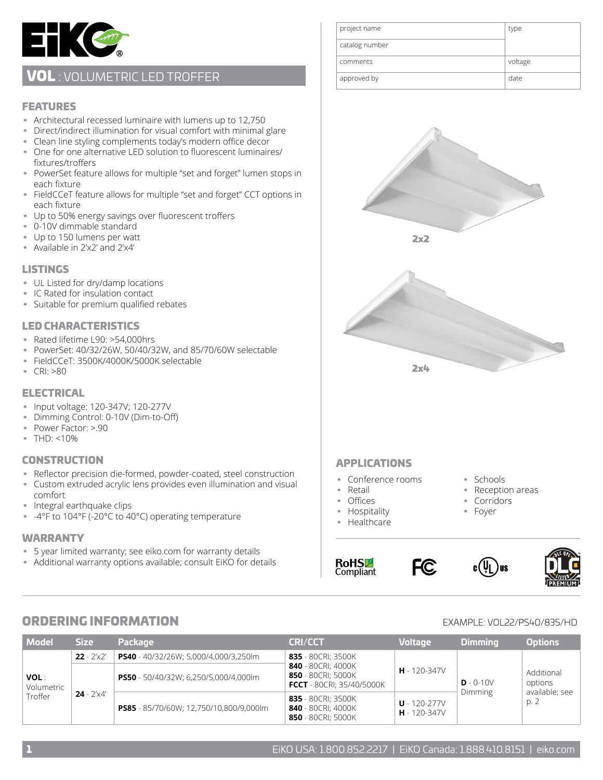

## VOL: VOLUMETRIC LED TROFFER

#### FEATURES

- Architectural recessed luminaire with lumens up to 12,750
- Direct/indirect illumination for visual comfort with minimal glare
- Clean line styling complements today's modern office decor
- One for one alternative LED solution to fluorescent luminaires/ fixtures/troffers
- PowerSet feature allows for multiple "set and forget" lumen stops in each fixture
- FieldCCeT feature allows for multiple "set and forget" CCT options in each fixture
- Up to 50% energy savings over fluorescent troffers
- 0-10V dimmable standard
- Up to 150 lumens per watt
- Available in 2'x2' and 2'x4'

#### **LISTINGS**

- UL Listed for dry/damp locations
- IC Rated for insulation contact
- Suitable for premium qualified rebates

#### LED CHARACTERISTICS

- Rated lifetime L90: >54,000hrs
- PowerSet: 40/32/26W, 50/40/32W, and 85/70/60W selectable
- FieldCCeT: 3500K/4000K/5000K selectable
- CRI: >80

#### ELECTRICAL

- Input voltage: 120-347V; 120-277V
- Dimming Control: 0-10V (Dim-to-Off)
- Power Factor: >.90
- THD: <10%

#### CONSTRUCTION

- Reflector precision die-formed, powder-coated, steel construction
- Custom extruded acrylic lens provides even illumination and visual comfort
- Integral earthquake clips
- -4°F to 104°F (-20°C to 40°C) operating temperature

#### WARRANTY

- 5 year limited warranty; see eiko.com for warranty details
- Additional warranty options available; consult EiKO for details

| project name   | type    |
|----------------|---------|
| catalog number |         |
| comments       | voltage |
| approved by    | date    |



#### APPLICATIONS

- Conference rooms
- Retail
- Offices
- Hospitality
- Healthcare

**RoHSL** Compliant



• Schools • Reception areas • Corridors • Foyer

) us



## ORDERING INFORMATION EXAMPLE: VOL22/PS40/835/HD

| <b>Model</b>                         | <b>Size</b>                | <b>Package</b>                          | <b>CRI/CCT</b>                                                               | <b>Voltage</b>                       | Dimmina                       | <b>Options</b>                                  |
|--------------------------------------|----------------------------|-----------------------------------------|------------------------------------------------------------------------------|--------------------------------------|-------------------------------|-------------------------------------------------|
| <b>VOL:</b><br>Volumetric<br>Troffer | $22 - 2' \times 2'$        | PS40 - 40/32/26W; 5,000/4,000/3,250lm   | 835 - 80CRI; 3500K                                                           | $H - 120 - 347V$                     | $D - 0-10V$<br><b>Dimming</b> | Additional<br>options<br>available; see<br>p. 2 |
|                                      | <b>24</b> - $2' \times 4'$ | PS50 - 50/40/32W; 6,250/5,000/4,000lm   | 840 - 80CRI; 4000K<br>850 - 80CRI; 5000K<br><b>FCCT</b> - 80CRI; 35/40/5000K |                                      |                               |                                                 |
|                                      |                            | PS85 - 85/70/60W; 12,750/10,800/9,000lm | 835 - 80CRI; 3500K<br>840 - 80CRI; 4000K<br>850 - 80CRI; 5000K               | $U - 120 - 277V$<br>$H - 120 - 347V$ |                               |                                                 |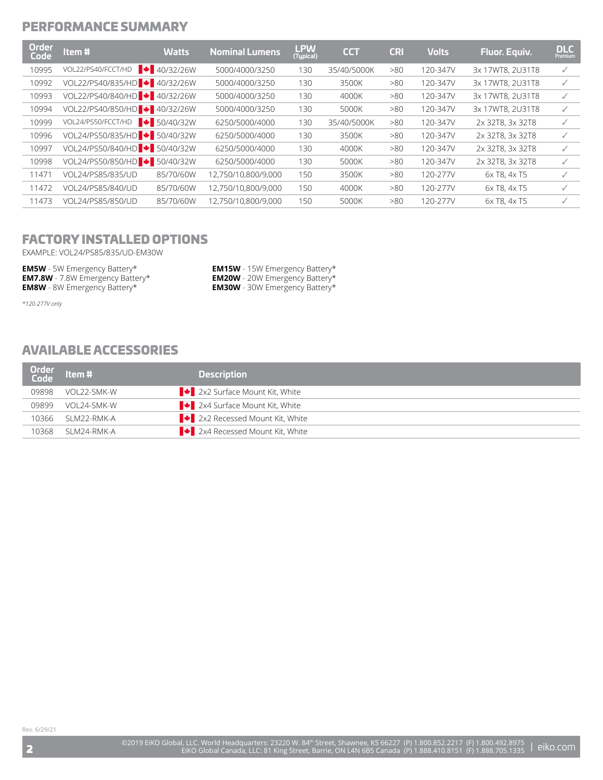### PERFORMANCE SUMMARY

| Order<br>Code | Item#                                      | <b>Watts</b>              | <b>Nominal Lumens</b> | $L$ PW $(Typical)$ | <b>CCT</b>  | <b>CRI</b> | <b>Volts</b> | Fluor. Equiv.    | <b>DLC</b><br>Premium |
|---------------|--------------------------------------------|---------------------------|-----------------------|--------------------|-------------|------------|--------------|------------------|-----------------------|
| 10995         | VOL22/PS40/FCCT/HD                         | $\big  + 40/32/26W \big $ | 5000/4000/3250        | 130                | 35/40/5000K | >80        | 120-347V     | 3x 17WT8, 2U31T8 |                       |
| 10992         | VOL22/PS40/835/HD + 40/32/26W              |                           | 5000/4000/3250        | 130                | 3500K       | >80        | 120-347V     | 3x 17WT8, 2U31T8 | √                     |
| 10993         | VOL22/PS40/840/HD + 40/32/26W              |                           | 5000/4000/3250        | 130                | 4000K       | >80        | 120-347V     | 3x 17WT8, 2U31T8 | ✓                     |
| 10994         | VOL22/PS40/850/HD + 40/32/26W              |                           | 5000/4000/3250        | 130                | 5000K       | >80        | 120-347V     | 3x 17WT8, 2U31T8 | √                     |
| 10999         | VOL24/PS50/FCCT/HD                         | $\bullet$ 50/40/32W       | 6250/5000/4000        | 130                | 35/40/5000K | >80        | 120-347V     | 2x 32T8, 3x 32T8 | $\checkmark$          |
| 10996         | VOL24/PS50/835/HD + 50/40/32W              |                           | 6250/5000/4000        | 130                | 3500K       | >80        | 120-347V     | 2x 32T8, 3x 32T8 | ✓                     |
| 10997         | VOL24/PS50/840/HD <sup>1</sup> + 50/40/32W |                           | 6250/5000/4000        | 130                | 4000K       | >80        | 120-347V     | 2x 32T8, 3x 32T8 | $\checkmark$          |
| 10998         | VOL24/PS50/850/HD + 50/40/32W              |                           | 6250/5000/4000        | 130                | 5000K       | >80        | 120-347V     | 2x 32T8, 3x 32T8 | $\checkmark$          |
| 11471         | VOL24/PS85/835/UD                          | 85/70/60W                 | 12.750/10.800/9.000   | 150                | 3500K       | >80        | 120-277V     | 6x T8, 4x T5     | ✓                     |
| 11472         | VOL24/PS85/840/UD                          | 85/70/60W                 | 12.750/10.800/9.000   | 150                | 4000K       | >80        | 120-277V     | 6x T8, 4x T5     |                       |
| 11473         | VOL24/PS85/850/UD                          | 85/70/60W                 | 12,750/10,800/9,000   | 150                | 5000K       | >80        | 120-277V     | 6x T8, 4x T5     |                       |
|               |                                            |                           |                       |                    |             |            |              |                  |                       |

## FACTORY INSTALLED OPTIONS

EXAMPLE: VOL24/PS85/835/UD-EM30W

| <b>EM5W</b> - 5W Emergency Battery*     | <b>EM15W</b> - 15W Emergency Battery* |
|-----------------------------------------|---------------------------------------|
| <b>EM7.8W</b> - 7.8W Emergency Battery* | <b>EM20W</b> - 20W Emergency Battery* |
| <b>EM8W</b> - 8W Emergency Battery*     | <b>EM30W</b> - 30W Emergency Battery* |

*\*120-277V only*

### AVAILABLE ACCESSORIES

| Order  <br>  Code | $\blacksquare$ Item # $\blacksquare$ | <b>Description</b>                                     |
|-------------------|--------------------------------------|--------------------------------------------------------|
| 09898             | VOL22-SMK-W                          | $\big $ $\big $ 2x2 Surface Mount Kit, White           |
| 09899             | VOI 24-SMK-W                         | ■ 2x4 Surface Mount Kit, White                         |
| 10366             | SI M22-RMK-A                         | $\left  \bullet \right $ 2x2 Recessed Mount Kit, White |
| 10368             | SI M24-RMK-A                         | $\left  \bullet \right $ 2x4 Recessed Mount Kit, White |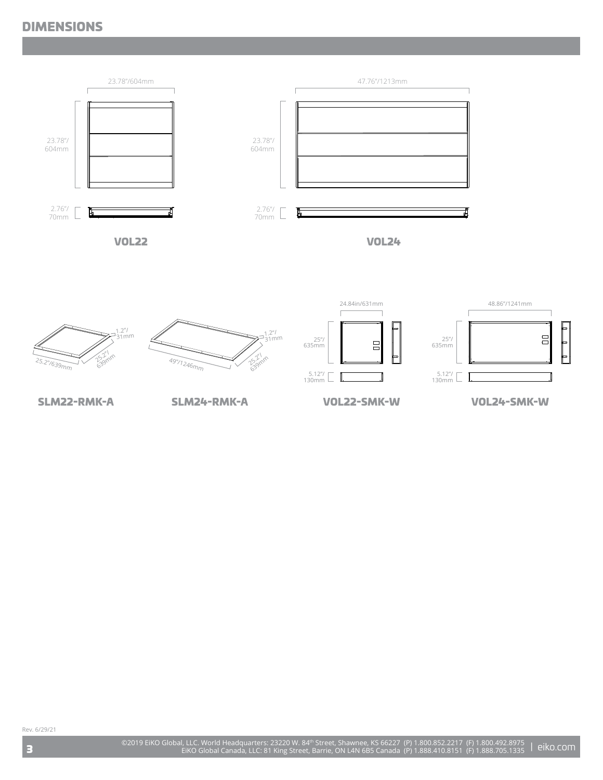### DIMENSIONS





SLM22-RMK-A SLM24-RMK-A VOL22-SMK-W VOL24-SMK-W